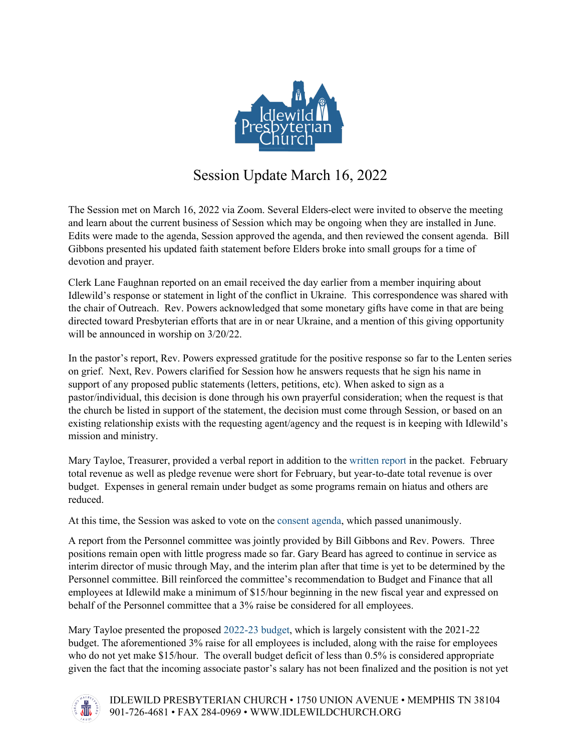

## Session Update March 16, 2022

The Session met on March 16, 2022 via Zoom. Several Elders-elect were invited to observe the meeting and learn about the current business of Session which may be ongoing when they are installed in June. Edits were made to the agenda, Session approved the agenda, and then reviewed the consent agenda. Bill Gibbons presented his updated faith statement before Elders broke into small groups for a time of devotion and prayer.

Clerk Lane Faughnan reported on an email received the day earlier from a member inquiring about Idlewild's response or statement in light of the conflict in Ukraine. This correspondence was shared with the chair of Outreach. Rev. Powers acknowledged that some monetary gifts have come in that are being directed toward Presbyterian efforts that are in or near Ukraine, and a mention of this giving opportunity will be announced in worship on 3/20/22.

In the pastor's report, Rev. Powers expressed gratitude for the positive response so far to the Lenten series on grief. Next, Rev. Powers clarified for Session how he answers requests that he sign his name in support of any proposed public statements (letters, petitions, etc). When asked to sign as a pastor/individual, this decision is done through his own prayerful consideration; when the request is that the church be listed in support of the statement, the decision must come through Session, or based on an existing relationship exists with the requesting agent/agency and the request is in keeping with Idlewild's mission and ministry.

Mary Tayloe, Treasurer, provided a verbal report in addition to the [written](https://acrobat.adobe.com/link/review?uri=urn:aaid:scds:US:5a5278e1-70a7-3716-87cc-a8e3e6349c6d) report in the packet. February total revenue as well as pledge revenue were short for February, but year-to-date total revenue is over budget. Expenses in general remain under budget as some programs remain on hiatus and others are reduced.

At this time, the Session was asked to vote on the consent [agenda, w](https://acrobat.adobe.com/link/review?uri=urn:aaid:scds:US:21230511-1ac1-3064-91d3-a5278a927f1c)hich passed unanimously.

A report from the Personnel committee was jointly provided by Bill Gibbons and Rev. Powers. Three positions remain open with little progress made so far. Gary Beard has agreed to continue in service as interim director of music through May, and the interim plan after that time is yet to be determined by the Personnel committee. Bill reinforced the committee's recommendation to Budget and Finance that all employees at Idlewild make a minimum of \$15/hour beginning in the new fiscal year and expressed on behalf of the Personnel committee that a 3% raise be considered for all employees.

Mary Tayloe presented the proposed [2022-23 budget,](https://acrobat.adobe.com/link/review?uri=urn:aaid:scds:US:9da6023a-5c3f-3ba6-9f17-50d0629b3d33) which is largely consistent with the 2021-22 budget. The aforementioned 3% raise for all employees is included, along with the raise for employees who do not yet make \$15/hour. The overall budget deficit of less than 0.5% is considered appropriate given the fact that the incoming associate pastor's salary has not been finalized and the position is not yet